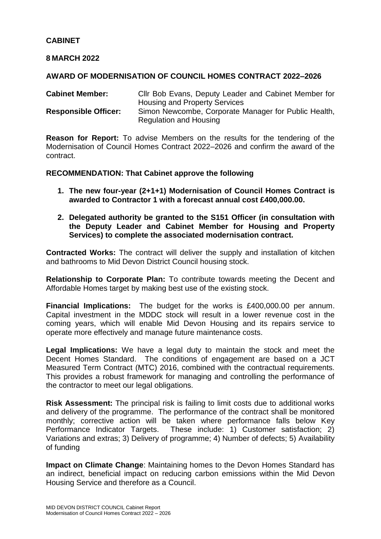# **CABINET**

## **8 MARCH 2022**

## **AWARD OF MODERNISATION OF COUNCIL HOMES CONTRACT 2022–2026**

**Cabinet Member:** Cllr Bob Evans, Deputy Leader and Cabinet Member for Housing and Property Services **Responsible Officer:** Simon Newcombe, Corporate Manager for Public Health, Regulation and Housing

**Reason for Report:** To advise Members on the results for the tendering of the Modernisation of Council Homes Contract 2022–2026 and confirm the award of the contract.

#### **RECOMMENDATION: That Cabinet approve the following**

- **1. The new four-year (2+1+1) Modernisation of Council Homes Contract is awarded to Contractor 1 with a forecast annual cost £400,000.00.**
- **2. Delegated authority be granted to the S151 Officer (in consultation with the Deputy Leader and Cabinet Member for Housing and Property Services) to complete the associated modernisation contract.**

**Contracted Works:** The contract will deliver the supply and installation of kitchen and bathrooms to Mid Devon District Council housing stock.

**Relationship to Corporate Plan:** To contribute towards meeting the Decent and Affordable Homes target by making best use of the existing stock.

**Financial Implications:** The budget for the works is £400,000.00 per annum. Capital investment in the MDDC stock will result in a lower revenue cost in the coming years, which will enable Mid Devon Housing and its repairs service to operate more effectively and manage future maintenance costs.

**Legal Implications:** We have a legal duty to maintain the stock and meet the Decent Homes Standard. The conditions of engagement are based on a JCT Measured Term Contract (MTC) 2016, combined with the contractual requirements. This provides a robust framework for managing and controlling the performance of the contractor to meet our legal obligations.

**Risk Assessment:** The principal risk is failing to limit costs due to additional works and delivery of the programme. The performance of the contract shall be monitored monthly; corrective action will be taken where performance falls below Key Performance Indicator Targets. These include: 1) Customer satisfaction; 2) Variations and extras; 3) Delivery of programme; 4) Number of defects; 5) Availability of funding

**Impact on Climate Change**: Maintaining homes to the Devon Homes Standard has an indirect, beneficial impact on reducing carbon emissions within the Mid Devon Housing Service and therefore as a Council.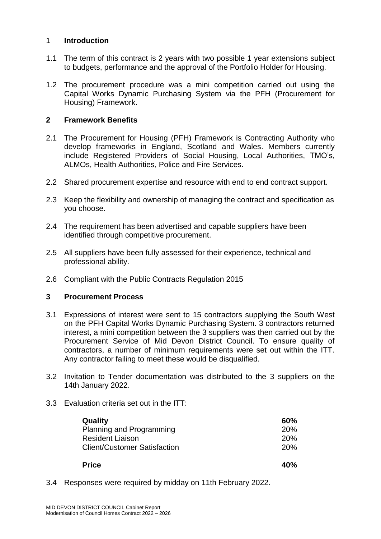## 1 **Introduction**

- 1.1 The term of this contract is 2 years with two possible 1 year extensions subject to budgets, performance and the approval of the Portfolio Holder for Housing.
- 1.2 The procurement procedure was a mini competition carried out using the Capital Works Dynamic Purchasing System via the PFH (Procurement for Housing) Framework.

## **2 Framework Benefits**

- 2.1 The Procurement for Housing (PFH) Framework is Contracting Authority who develop frameworks in England, Scotland and Wales. Members currently include Registered Providers of Social Housing, Local Authorities, TMO's, ALMOs, Health Authorities, Police and Fire Services.
- 2.2 Shared procurement expertise and resource with end to end contract support.
- 2.3 Keep the flexibility and ownership of managing the contract and specification as you choose.
- 2.4 The requirement has been advertised and capable suppliers have been identified through competitive procurement.
- 2.5 All suppliers have been fully assessed for their experience, technical and professional ability.
- 2.6 Compliant with the Public Contracts Regulation 2015

## **3 Procurement Process**

- 3.1 Expressions of interest were sent to 15 contractors supplying the South West on the PFH Capital Works Dynamic Purchasing System. 3 contractors returned interest, a mini competition between the 3 suppliers was then carried out by the Procurement Service of Mid Devon District Council. To ensure quality of contractors, a number of minimum requirements were set out within the ITT. Any contractor failing to meet these would be disqualified.
- 3.2 Invitation to Tender documentation was distributed to the 3 suppliers on the 14th January 2022.
- 3.3 Evaluation criteria set out in the ITT:

| <b>Quality</b>                      | 60%        |
|-------------------------------------|------------|
| Planning and Programming            | <b>20%</b> |
| <b>Resident Liaison</b>             | 20%        |
| <b>Client/Customer Satisfaction</b> | 20%        |
| <b>Price</b>                        | 40%        |

3.4 Responses were required by midday on 11th February 2022.